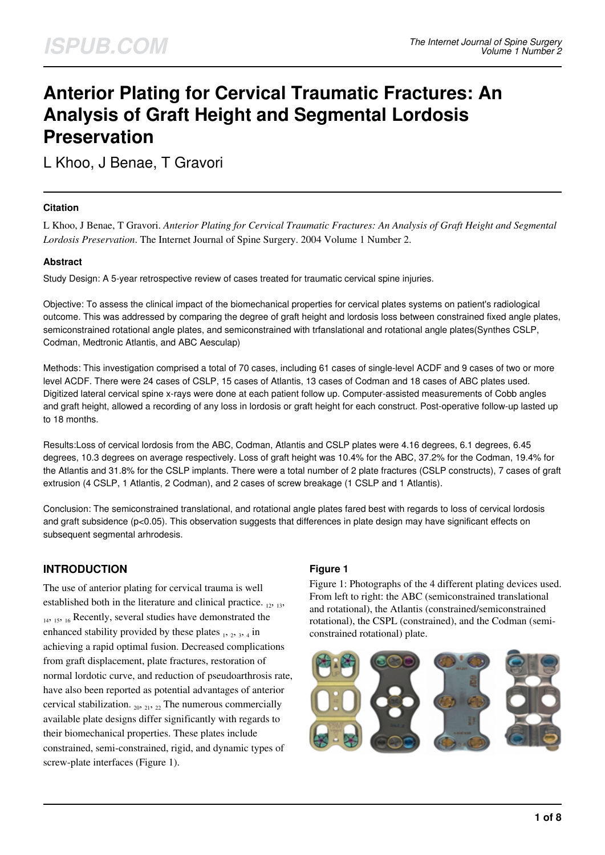# **Anterior Plating for Cervical Traumatic Fractures: An Analysis of Graft Height and Segmental Lordosis Preservation**

L Khoo, J Benae, T Gravori

### **Citation**

L Khoo, J Benae, T Gravori. *Anterior Plating for Cervical Traumatic Fractures: An Analysis of Graft Height and Segmental Lordosis Preservation*. The Internet Journal of Spine Surgery. 2004 Volume 1 Number 2.

### **Abstract**

Study Design: A 5-year retrospective review of cases treated for traumatic cervical spine injuries.

Objective: To assess the clinical impact of the biomechanical properties for cervical plates systems on patient's radiological outcome. This was addressed by comparing the degree of graft height and lordosis loss between constrained fixed angle plates, semiconstrained rotational angle plates, and semiconstrained with trfanslational and rotational angle plates(Synthes CSLP, Codman, Medtronic Atlantis, and ABC Aesculap)

Methods: This investigation comprised a total of 70 cases, including 61 cases of single-level ACDF and 9 cases of two or more level ACDF. There were 24 cases of CSLP, 15 cases of Atlantis, 13 cases of Codman and 18 cases of ABC plates used. Digitized lateral cervical spine x-rays were done at each patient follow up. Computer-assisted measurements of Cobb angles and graft height, allowed a recording of any loss in lordosis or graft height for each construct. Post-operative follow-up lasted up to 18 months.

Results:Loss of cervical lordosis from the ABC, Codman, Atlantis and CSLP plates were 4.16 degrees, 6.1 degrees, 6.45 degrees, 10.3 degrees on average respectively. Loss of graft height was 10.4% for the ABC, 37.2% for the Codman, 19.4% for the Atlantis and 31.8% for the CSLP implants. There were a total number of 2 plate fractures (CSLP constructs), 7 cases of graft extrusion (4 CSLP, 1 Atlantis, 2 Codman), and 2 cases of screw breakage (1 CSLP and 1 Atlantis).

Conclusion: The semiconstrained translational, and rotational angle plates fared best with regards to loss of cervical lordosis and graft subsidence (p<0.05). This observation suggests that differences in plate design may have significant effects on subsequent segmental arhrodesis.

# **INTRODUCTION**

The use of anterior plating for cervical trauma is well established both in the literature and clinical practice.  $_{12, 13}$ , <sup>14</sup>, 15, 16 Recently, several studies have demonstrated the enhanced stability provided by these plates  $_1$ ,  $_2$ ,  $_3$ ,  $_4$  in achieving a rapid optimal fusion. Decreased complications from graft displacement, plate fractures, restoration of normal lordotic curve, and reduction of pseudoarthrosis rate, have also been reported as potential advantages of anterior cervical stabilization.  $_{20, 21, 22}$  The numerous commercially available plate designs differ significantly with regards to their biomechanical properties. These plates include constrained, semi-constrained, rigid, and dynamic types of screw-plate interfaces (Figure 1).

### **Figure 1**

Figure 1: Photographs of the 4 different plating devices used. From left to right: the ABC (semiconstrained translational and rotational), the Atlantis (constrained/semiconstrained rotational), the CSPL (constrained), and the Codman (semiconstrained rotational) plate.

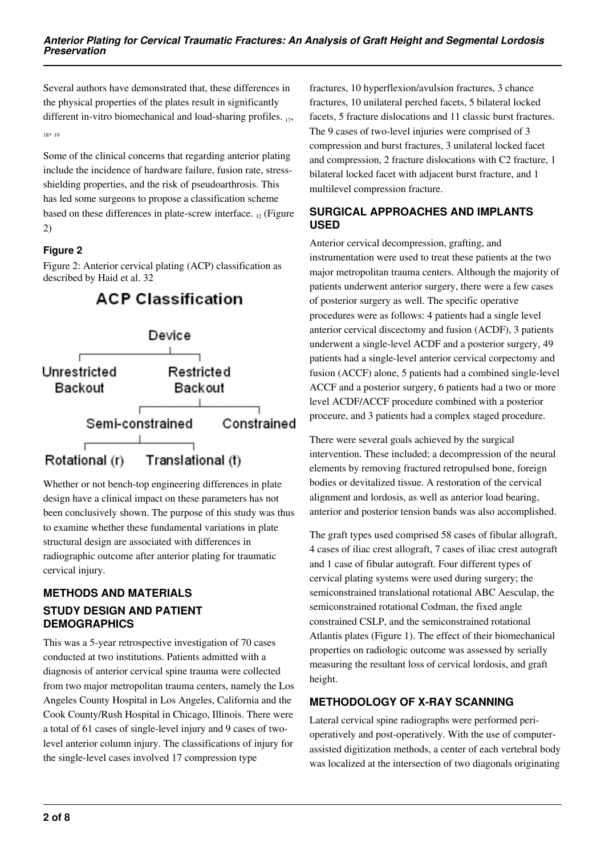Several authors have demonstrated that, these differences in the physical properties of the plates result in significantly different in-vitro biomechanical and load-sharing profiles.  $_{17}$ , <sup>18</sup>, <sup>19</sup>

Some of the clinical concerns that regarding anterior plating include the incidence of hardware failure, fusion rate, stressshielding properties, and the risk of pseudoarthrosis. This has led some surgeons to propose a classification scheme based on these differences in plate-screw interface.  $_{32}$  (Figure 2)

# **Figure 2**

Figure 2: Anterior cervical plating (ACP) classification as described by Haid et al. 32



**ACP Classification** 

Whether or not bench-top engineering differences in plate design have a clinical impact on these parameters has not been conclusively shown. The purpose of this study was thus to examine whether these fundamental variations in plate structural design are associated with differences in radiographic outcome after anterior plating for traumatic cervical injury.

# **METHODS AND MATERIALS STUDY DESIGN AND PATIENT DEMOGRAPHICS**

This was a 5-year retrospective investigation of 70 cases conducted at two institutions. Patients admitted with a diagnosis of anterior cervical spine trauma were collected from two major metropolitan trauma centers, namely the Los Angeles County Hospital in Los Angeles, California and the Cook County/Rush Hospital in Chicago, Illinois. There were a total of 61 cases of single-level injury and 9 cases of twolevel anterior column injury. The classifications of injury for the single-level cases involved 17 compression type

fractures, 10 hyperflexion/avulsion fractures, 3 chance fractures, 10 unilateral perched facets, 5 bilateral locked facets, 5 fracture dislocations and 11 classic burst fractures. The 9 cases of two-level injuries were comprised of 3 compression and burst fractures, 3 unilateral locked facet and compression, 2 fracture dislocations with C2 fracture, 1 bilateral locked facet with adjacent burst fracture, and 1 multilevel compression fracture.

# **SURGICAL APPROACHES AND IMPLANTS USED**

Anterior cervical decompression, grafting, and instrumentation were used to treat these patients at the two major metropolitan trauma centers. Although the majority of patients underwent anterior surgery, there were a few cases of posterior surgery as well. The specific operative procedures were as follows: 4 patients had a single level anterior cervical discectomy and fusion (ACDF), 3 patients underwent a single-level ACDF and a posterior surgery, 49 patients had a single-level anterior cervical corpectomy and fusion (ACCF) alone, 5 patients had a combined single-level ACCF and a posterior surgery, 6 patients had a two or more level ACDF/ACCF procedure combined with a posterior proceure, and 3 patients had a complex staged procedure.

There were several goals achieved by the surgical intervention. These included; a decompression of the neural elements by removing fractured retropulsed bone, foreign bodies or devitalized tissue. A restoration of the cervical alignment and lordosis, as well as anterior load bearing, anterior and posterior tension bands was also accomplished.

The graft types used comprised 58 cases of fibular allograft, 4 cases of iliac crest allograft, 7 cases of iliac crest autograft and 1 case of fibular autograft. Four different types of cervical plating systems were used during surgery; the semiconstrained translational rotational ABC Aesculap, the semiconstrained rotational Codman, the fixed angle constrained CSLP, and the semiconstrained rotational Atlantis plates (Figure 1). The effect of their biomechanical properties on radiologic outcome was assessed by serially measuring the resultant loss of cervical lordosis, and graft height.

# **METHODOLOGY OF X-RAY SCANNING**

Lateral cervical spine radiographs were performed perioperatively and post-operatively. With the use of computerassisted digitization methods, a center of each vertebral body was localized at the intersection of two diagonals originating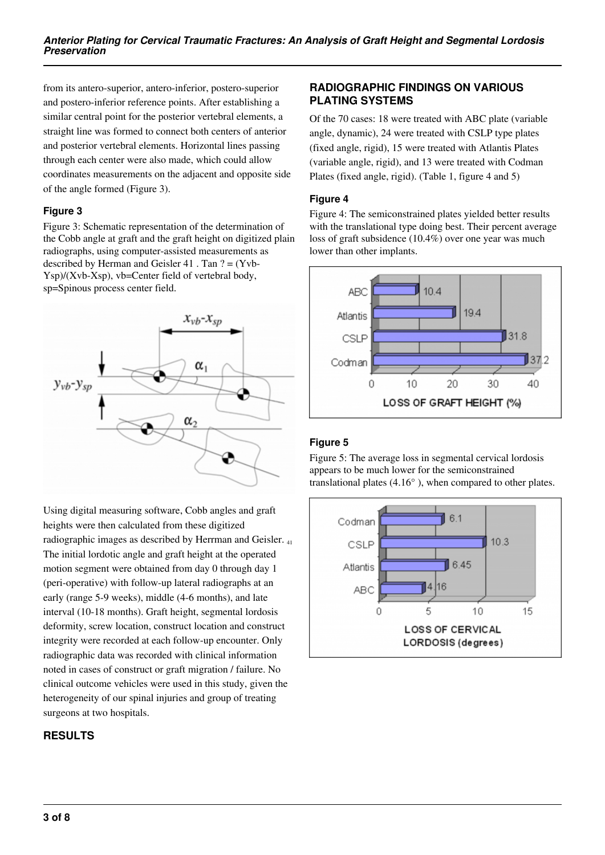from its antero-superior, antero-inferior, postero-superior and postero-inferior reference points. After establishing a similar central point for the posterior vertebral elements, a straight line was formed to connect both centers of anterior and posterior vertebral elements. Horizontal lines passing through each center were also made, which could allow coordinates measurements on the adjacent and opposite side of the angle formed (Figure 3).

### **Figure 3**

Figure 3: Schematic representation of the determination of the Cobb angle at graft and the graft height on digitized plain radiographs, using computer-assisted measurements as described by Herman and Geisler 41 . Tan ? = (Yvb-Ysp)/(Xvb-Xsp), vb=Center field of vertebral body, sp=Spinous process center field.



Using digital measuring software, Cobb angles and graft heights were then calculated from these digitized radiographic images as described by Herrman and Geisler. <sup>41</sup> The initial lordotic angle and graft height at the operated motion segment were obtained from day 0 through day 1 (peri-operative) with follow-up lateral radiographs at an early (range 5-9 weeks), middle (4-6 months), and late interval (10-18 months). Graft height, segmental lordosis deformity, screw location, construct location and construct integrity were recorded at each follow-up encounter. Only radiographic data was recorded with clinical information noted in cases of construct or graft migration / failure. No clinical outcome vehicles were used in this study, given the heterogeneity of our spinal injuries and group of treating surgeons at two hospitals.

# **RESULTS**

### **RADIOGRAPHIC FINDINGS ON VARIOUS PLATING SYSTEMS**

Of the 70 cases: 18 were treated with ABC plate (variable angle, dynamic), 24 were treated with CSLP type plates (fixed angle, rigid), 15 were treated with Atlantis Plates (variable angle, rigid), and 13 were treated with Codman Plates (fixed angle, rigid). (Table 1, figure 4 and 5)

### **Figure 4**

Figure 4: The semiconstrained plates yielded better results with the translational type doing best. Their percent average loss of graft subsidence (10.4%) over one year was much lower than other implants.



# **Figure 5**

Figure 5: The average loss in segmental cervical lordosis appears to be much lower for the semiconstrained translational plates (4.16° ), when compared to other plates.

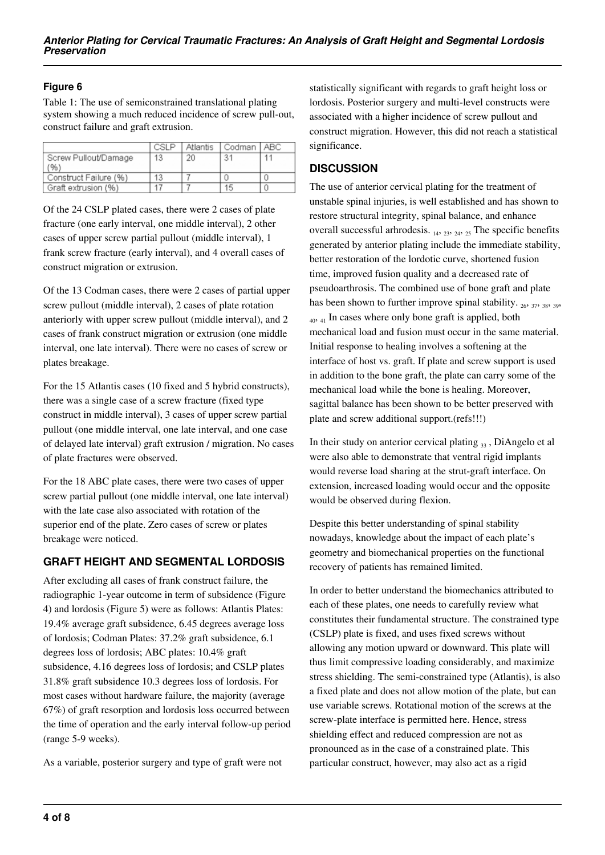### **Figure 6**

Table 1: The use of semiconstrained translational plating system showing a much reduced incidence of screw pull-out, construct failure and graft extrusion.

|                       | CSI P |    | Atlantis   Codman   ABC |  |
|-----------------------|-------|----|-------------------------|--|
| Screw Pullout/Damage  | 13    | 20 | 31                      |  |
| $\frac{96}{3}$        |       |    |                         |  |
| Construct Failure (%) |       |    |                         |  |
| Graft extrusion (%)   |       |    | 15                      |  |

Of the 24 CSLP plated cases, there were 2 cases of plate fracture (one early interval, one middle interval), 2 other cases of upper screw partial pullout (middle interval), 1 frank screw fracture (early interval), and 4 overall cases of construct migration or extrusion.

Of the 13 Codman cases, there were 2 cases of partial upper screw pullout (middle interval), 2 cases of plate rotation anteriorly with upper screw pullout (middle interval), and 2 cases of frank construct migration or extrusion (one middle interval, one late interval). There were no cases of screw or plates breakage.

For the 15 Atlantis cases (10 fixed and 5 hybrid constructs), there was a single case of a screw fracture (fixed type construct in middle interval), 3 cases of upper screw partial pullout (one middle interval, one late interval, and one case of delayed late interval) graft extrusion / migration. No cases of plate fractures were observed.

For the 18 ABC plate cases, there were two cases of upper screw partial pullout (one middle interval, one late interval) with the late case also associated with rotation of the superior end of the plate. Zero cases of screw or plates breakage were noticed.

# **GRAFT HEIGHT AND SEGMENTAL LORDOSIS**

After excluding all cases of frank construct failure, the radiographic 1-year outcome in term of subsidence (Figure 4) and lordosis (Figure 5) were as follows: Atlantis Plates: 19.4% average graft subsidence, 6.45 degrees average loss of lordosis; Codman Plates: 37.2% graft subsidence, 6.1 degrees loss of lordosis; ABC plates: 10.4% graft subsidence, 4.16 degrees loss of lordosis; and CSLP plates 31.8% graft subsidence 10.3 degrees loss of lordosis. For most cases without hardware failure, the majority (average 67%) of graft resorption and lordosis loss occurred between the time of operation and the early interval follow-up period (range 5-9 weeks).

As a variable, posterior surgery and type of graft were not

statistically significant with regards to graft height loss or lordosis. Posterior surgery and multi-level constructs were associated with a higher incidence of screw pullout and construct migration. However, this did not reach a statistical significance.

# **DISCUSSION**

The use of anterior cervical plating for the treatment of unstable spinal injuries, is well established and has shown to restore structural integrity, spinal balance, and enhance overall successful arhrodesis.  $_{14}$ ,  $_{23}$ ,  $_{24}$ ,  $_{25}$  The specific benefits generated by anterior plating include the immediate stability, better restoration of the lordotic curve, shortened fusion time, improved fusion quality and a decreased rate of pseudoarthrosis. The combined use of bone graft and plate has been shown to further improve spinal stability.  $_{26}$ ,  $_{37}$ ,  $_{38}$ ,  $_{39}$ ,  $_{40, 41}$  In cases where only bone graft is applied, both mechanical load and fusion must occur in the same material. Initial response to healing involves a softening at the interface of host vs. graft. If plate and screw support is used in addition to the bone graft, the plate can carry some of the mechanical load while the bone is healing. Moreover, sagittal balance has been shown to be better preserved with plate and screw additional support.(refs!!!)

In their study on anterior cervical plating  $\alpha$ , DiAngelo et al were also able to demonstrate that ventral rigid implants would reverse load sharing at the strut-graft interface. On extension, increased loading would occur and the opposite would be observed during flexion.

Despite this better understanding of spinal stability nowadays, knowledge about the impact of each plate's geometry and biomechanical properties on the functional recovery of patients has remained limited.

In order to better understand the biomechanics attributed to each of these plates, one needs to carefully review what constitutes their fundamental structure. The constrained type (CSLP) plate is fixed, and uses fixed screws without allowing any motion upward or downward. This plate will thus limit compressive loading considerably, and maximize stress shielding. The semi-constrained type (Atlantis), is also a fixed plate and does not allow motion of the plate, but can use variable screws. Rotational motion of the screws at the screw-plate interface is permitted here. Hence, stress shielding effect and reduced compression are not as pronounced as in the case of a constrained plate. This particular construct, however, may also act as a rigid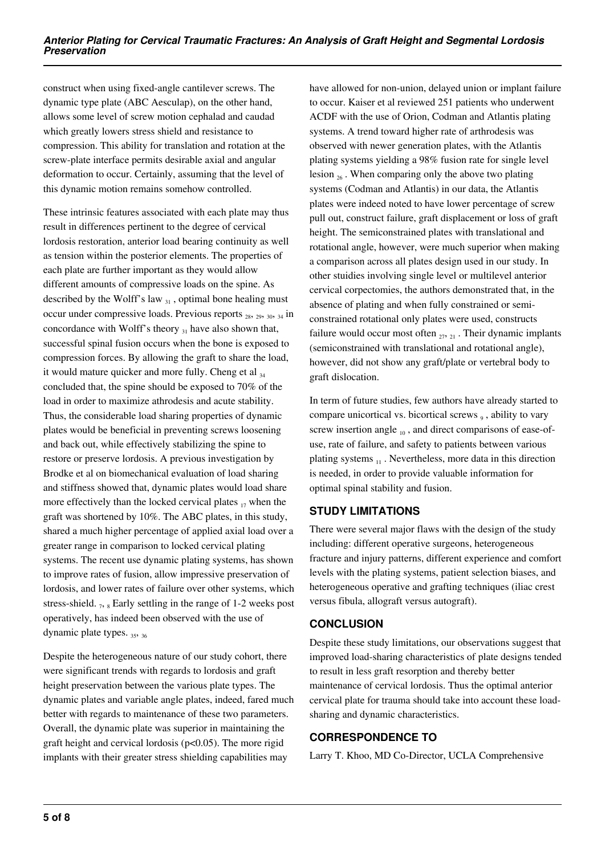construct when using fixed-angle cantilever screws. The dynamic type plate (ABC Aesculap), on the other hand, allows some level of screw motion cephalad and caudad which greatly lowers stress shield and resistance to compression. This ability for translation and rotation at the screw-plate interface permits desirable axial and angular deformation to occur. Certainly, assuming that the level of this dynamic motion remains somehow controlled.

These intrinsic features associated with each plate may thus result in differences pertinent to the degree of cervical lordosis restoration, anterior load bearing continuity as well as tension within the posterior elements. The properties of each plate are further important as they would allow different amounts of compressive loads on the spine. As described by the Wolff's law  $_{31}$ , optimal bone healing must occur under compressive loads. Previous reports 28, 29, 30, 34 in concordance with Wolff's theory  $_{31}$  have also shown that, successful spinal fusion occurs when the bone is exposed to compression forces. By allowing the graft to share the load, it would mature quicker and more fully. Cheng et al  $_{34}$ concluded that, the spine should be exposed to 70% of the load in order to maximize athrodesis and acute stability. Thus, the considerable load sharing properties of dynamic plates would be beneficial in preventing screws loosening and back out, while effectively stabilizing the spine to restore or preserve lordosis. A previous investigation by Brodke et al on biomechanical evaluation of load sharing and stiffness showed that, dynamic plates would load share more effectively than the locked cervical plates  $_{17}$  when the graft was shortened by 10%. The ABC plates, in this study, shared a much higher percentage of applied axial load over a greater range in comparison to locked cervical plating systems. The recent use dynamic plating systems, has shown to improve rates of fusion, allow impressive preservation of lordosis, and lower rates of failure over other systems, which stress-shield.  $_7$ ,  $_8$  Early settling in the range of 1-2 weeks post operatively, has indeed been observed with the use of dynamic plate types.  $35, 36$ 

Despite the heterogeneous nature of our study cohort, there were significant trends with regards to lordosis and graft height preservation between the various plate types. The dynamic plates and variable angle plates, indeed, fared much better with regards to maintenance of these two parameters. Overall, the dynamic plate was superior in maintaining the graft height and cervical lordosis ( $p<0.05$ ). The more rigid implants with their greater stress shielding capabilities may

have allowed for non-union, delayed union or implant failure to occur. Kaiser et al reviewed 251 patients who underwent ACDF with the use of Orion, Codman and Atlantis plating systems. A trend toward higher rate of arthrodesis was observed with newer generation plates, with the Atlantis plating systems yielding a 98% fusion rate for single level lesion  $_{26}$ . When comparing only the above two plating systems (Codman and Atlantis) in our data, the Atlantis plates were indeed noted to have lower percentage of screw pull out, construct failure, graft displacement or loss of graft height. The semiconstrained plates with translational and rotational angle, however, were much superior when making a comparison across all plates design used in our study. In other stuidies involving single level or multilevel anterior cervical corpectomies, the authors demonstrated that, in the absence of plating and when fully constrained or semiconstrained rotational only plates were used, constructs failure would occur most often  $_{27, 21}$ . Their dynamic implants (semiconstrained with translational and rotational angle), however, did not show any graft/plate or vertebral body to graft dislocation.

In term of future studies, few authors have already started to compare unicortical vs. bicortical screws  $<sub>9</sub>$ , ability to vary</sub> screw insertion angle  $_{10}$ , and direct comparisons of ease-ofuse, rate of failure, and safety to patients between various plating systems  $_{11}$ . Nevertheless, more data in this direction is needed, in order to provide valuable information for optimal spinal stability and fusion.

# **STUDY LIMITATIONS**

There were several major flaws with the design of the study including: different operative surgeons, heterogeneous fracture and injury patterns, different experience and comfort levels with the plating systems, patient selection biases, and heterogeneous operative and grafting techniques (iliac crest versus fibula, allograft versus autograft).

### **CONCLUSION**

Despite these study limitations, our observations suggest that improved load-sharing characteristics of plate designs tended to result in less graft resorption and thereby better maintenance of cervical lordosis. Thus the optimal anterior cervical plate for trauma should take into account these loadsharing and dynamic characteristics.

### **CORRESPONDENCE TO**

Larry T. Khoo, MD Co-Director, UCLA Comprehensive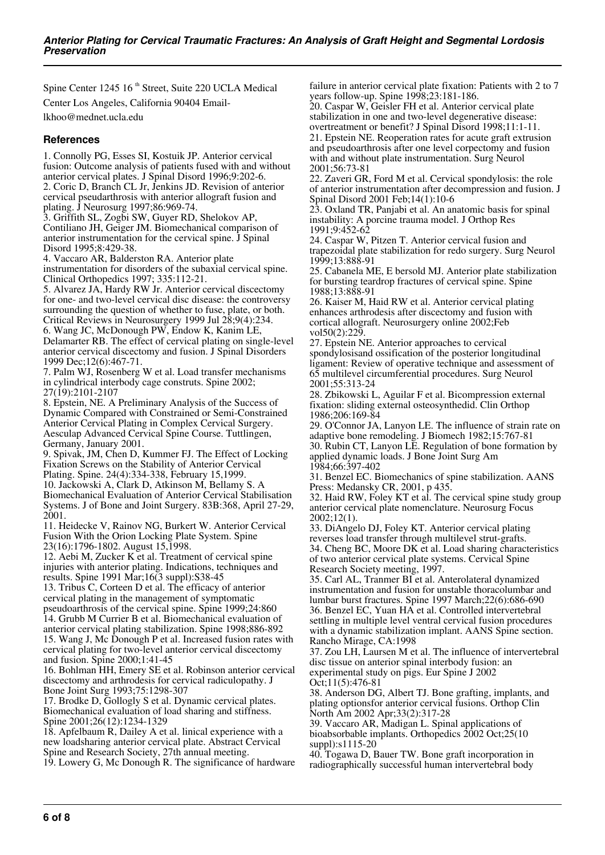Spine Center 1245 16 $^{\text{th}}$  Street, Suite 220 UCLA Medical Center Los Angeles, California 90404 Email-

lkhoo@mednet.ucla.edu

#### **References**

1. Connolly PG, Esses SI, Kostuik JP. Anterior cervical fusion: Outcome analysis of patients fused with and without anterior cervical plates. J Spinal Disord 1996;9:202-6. 2. Coric D, Branch CL Jr, Jenkins JD. Revision of anterior cervical pseudarthrosis with anterior allograft fusion and plating. J Neurosurg 1997;86:969-74.

3. Griffith SL, Zogbi SW, Guyer RD, Shelokov AP, Contiliano JH, Geiger JM. Biomechanical comparison of anterior instrumentation for the cervical spine. J Spinal Disord 1995;8:429-38.

4. Vaccaro AR, Balderston RA. Anterior plate instrumentation for disorders of the subaxial cervical spine. Clinical Orthopedics 1997; 335:112-21.

5. Alvarez JA, Hardy RW Jr. Anterior cervical discectomy for one- and two-level cervical disc disease: the controversy surrounding the question of whether to fuse, plate, or both. Critical Reviews in Neurosurgery 1999 Jul 28;9(4):234. 6. Wang JC, McDonough PW, Endow K, Kanim LE,

Delamarter RB. The effect of cervical plating on single-level anterior cervical discectomy and fusion. J Spinal Disorders 1999 Dec;12(6):467-71.

7. Palm WJ, Rosenberg W et al. Load transfer mechanisms in cylindrical interbody cage construts. Spine 2002; 27(19):2101-2107

8. Epstein, NE. A Preliminary Analysis of the Success of Dynamic Compared with Constrained or Semi-Constrained Anterior Cervical Plating in Complex Cervical Surgery. Aesculap Advanced Cervical Spine Course. Tuttlingen, Germany, January 2001.

9. Spivak, JM, Chen D, Kummer FJ. The Effect of Locking Fixation Screws on the Stability of Anterior Cervical Plating. Spine. 24(4):334-338, February 15,1999. 10. Jackowski A, Clark D, Atkinson M, Bellamy S. A

Biomechanical Evaluation of Anterior Cervical Stabilisation Systems. J of Bone and Joint Surgery. 83B:368, April 27-29, 2001.

11. Heidecke V, Rainov NG, Burkert W. Anterior Cervical Fusion With the Orion Locking Plate System. Spine 23(16):1796-1802. August 15,1998.

12. Aebi M, Zucker K et al. Treatment of cervical spine injuries with anterior plating. Indications, techniques and results. Spine 1991 Mar;16(3 suppl):S38-45

13. Tribus C, Corteen D et al. The efficacy of anterior cervical plating in the management of symptomatic pseudoarthrosis of the cervical spine. Spine 1999;24:860 14. Grubb M Currier B et al. Biomechanical evaluation of anterior cervical plating stabilization. Spine 1998;886-892 15. Wang J, Mc Donough P et al. Increased fusion rates with cervical plating for two-level anterior cervical discectomy and fusion. Spine 2000;1:41-45

16. Bohlman HH, Emery SE et al. Robinson anterior cervical discectomy and arthrodesis for cervical radiculopathy. J Bone Joint Surg 1993;75:1298-307

17. Brodke D, Gollogly S et al. Dynamic cervical plates. Biomechanical evaluation of load sharing and stiffness. Spine 2001;26(12):1234-1329

18. Apfelbaum R, Dailey A et al. linical experience with a new loadsharing anterior cervical plate. Abstract Cervical Spine and Research Society, 27th annual meeting.

19. Lowery G, Mc Donough R. The significance of hardware

failure in anterior cervical plate fixation: Patients with 2 to 7 years follow-up. Spine 1998;23:181-186.

20. Caspar W, Geisler FH et al. Anterior cervical plate stabilization in one and two-level degenerative disease: overtreatment or benefit? J Spinal Disord 1998;11:1-11. 21. Epstein NE. Reoperation rates for acute graft extrusion and pseudoarthrosis after one level corpectomy and fusion with and without plate instrumentation. Surg Neurol 2001;56:73-81

22. Zaveri GR, Ford M et al. Cervical spondylosis: the role of anterior instrumentation after decompression and fusion. J Spinal Disord 2001 Feb;14(1):10-6

23. Oxland TR, Panjabi et al. An anatomic basis for spinal instability: A porcine trauma model. J Orthop Res 1991;9:452-62

24. Caspar W, Pitzen T. Anterior cervical fusion and trapezoidal plate stabilization for redo surgery. Surg Neurol 1999;13:888-91

25. Cabanela ME, E bersold MJ. Anterior plate stabilization for bursting teardrop fractures of cervical spine. Spine 1988;13:888-91

26. Kaiser M, Haid RW et al. Anterior cervical plating enhances arthrodesis after discectomy and fusion with cortical allograft. Neurosurgery online 2002;Feb vol50(2):229.

27. Epstein NE. Anterior approaches to cervical spondylosisand ossification of the posterior longitudinal ligament: Review of operative technique and assessment of 65 multilevel circumferential procedures. Surg Neurol 2001;55:313-24

28. Zbikowski L, Aguilar F et al. Bicompression external fixation: sliding external osteosynthedid. Clin Orthop 1986;206:169-84

29. O'Connor JA, Lanyon LE. The influence of strain rate on adaptive bone remodeling. J Biomech 1982;15:767-81 30. Rubin CT, Lanyon LE. Regulation of bone formation by applied dynamic loads. J Bone Joint Surg Am 1984;66:397-402

31. Benzel EC. Biomechanics of spine stabilization. AANS Press: Medansky CR, 2001, p 435.

32. Haid RW, Foley KT et al. The cervical spine study group anterior cervical plate nomenclature. Neurosurg Focus 2002;12(1).

33. DiAngelo DJ, Foley KT. Anterior cervical plating reverses load transfer through multilevel strut-grafts. 34. Cheng BC, Moore DK et al. Load sharing characteristics of two anterior cervical plate systems. Cervical Spine Research Society meeting, 1997.

35. Carl AL, Tranmer BI et al. Anterolateral dynamized instrumentation and fusion for unstable thoracolumbar and lumbar burst fractures. Spine 1997 March;22(6):686-690 36. Benzel EC, Yuan HA et al. Controlled intervertebral settling in multiple level ventral cervical fusion procedures with a dynamic stabilization implant. AANS Spine section. Rancho Mirage, CA:1998

37. Zou LH, Laursen M et al. The influence of intervertebral disc tissue on anterior spinal interbody fusion: an experimental study on pigs. Eur Spine J 2002 Oct;11(5):476-81

38. Anderson DG, Albert TJ. Bone grafting, implants, and plating optionsfor anterior cervical fusions. Orthop Clin North Am 2002 Apr;33(2):317-28

39. Vaccaro AR, Madigan L. Spinal applications of bioabsorbable implants. Orthopedics 2002 Oct;25(10 suppl):s1115-20

40. Togawa D, Bauer TW. Bone graft incorporation in radiographically successful human intervertebral body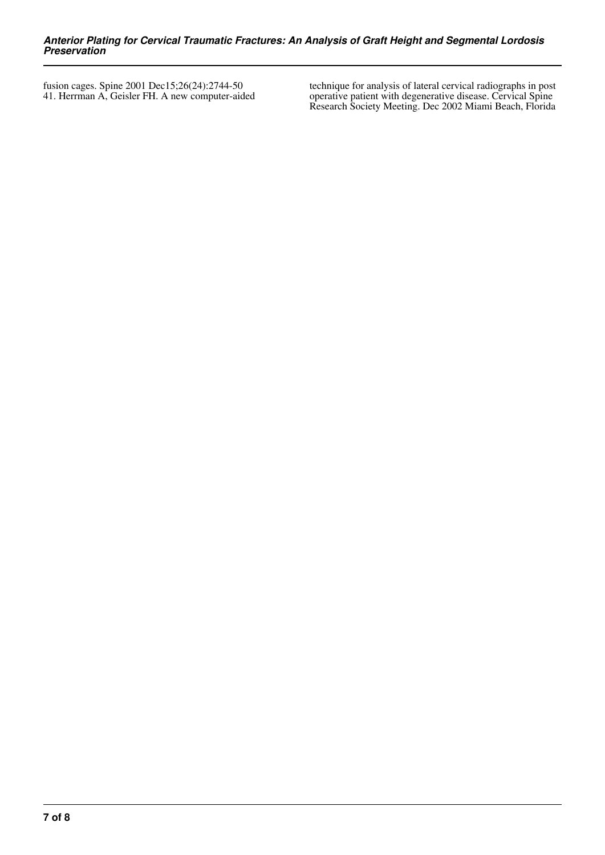fusion cages. Spine 2001 Dec15;26(24):2744-50 41. Herrman A, Geisler FH. A new computer-aided technique for analysis of lateral cervical radiographs in post operative patient with degenerative disease. Cervical Spine Research Society Meeting. Dec 2002 Miami Beach, Florida